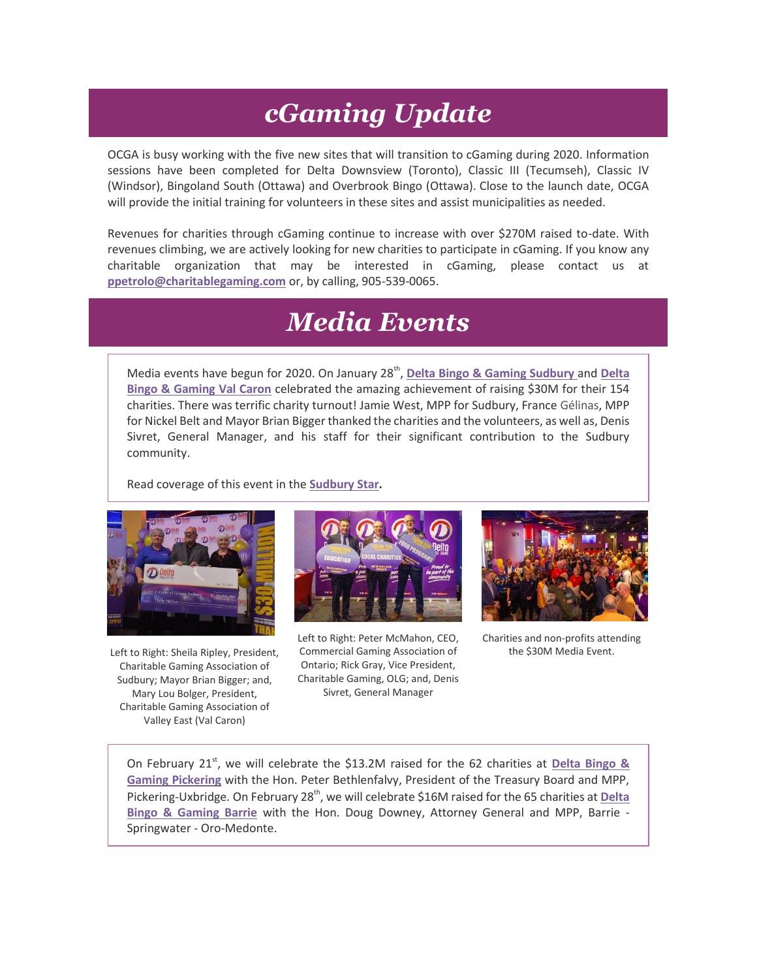### *cGaming Update*

OCGA is busy working with the five new sites that will transition to cGaming during 2020. Information sessions have been completed for Delta Downsview (Toronto), Classic III (Tecumseh), Classic IV (Windsor), Bingoland South (Ottawa) and Overbrook Bingo (Ottawa). Close to the launch date, OCGA will provide the initial training for volunteers in these sites and assist municipalities as needed.

Revenues for charities through cGaming continue to increase with over \$270M raised to-date. With revenues climbing, we are actively looking for new charities to participate in cGaming. If you know any charitable organization that may be interested in cGaming, please contact us at **[ppetrolo@charitablegaming.com](mailto:ppetrolo@charitablegaming.com)** or, by calling, 905-539-0065.

#### *Media Events*

Media events have begun for 2020. On January 28<sup>th</sup>, [Delta Bingo & Gaming Sudbury](http://r20.rs6.net/tn.jsp?f=001CfmsQcW5TZhaDTMyiKHBpFAhUE7cGATTB9wJe2kp8EPm5OsG4csFlAMXM_7tBx61Rv-5upqdP3xlQDAtEPtFK_UfuHi9dqe3rDgS_nufD3AfHJy8iIWaFwCVnoPxn2OaAlMQsNWIJsbpMgppMO3UQ0VwunZwqBUv8xs98zN5s4wrITczIoyCQyWQqTiyJWQ-&c=MVhs2mrYShONWZLe1KCZJ0R23sFVqO05kqP4JYSYohLrIVAwklOYzA==&ch=_Ut0vZoH79OPPW6aER5B8T_cOowmpg2J3-TRJZfQB6GWczP7O8IXsg==) and Delta **[Bingo & Gaming Val Caron](http://r20.rs6.net/tn.jsp?f=001CfmsQcW5TZhaDTMyiKHBpFAhUE7cGATTB9wJe2kp8EPm5OsG4csFlEVnWbih3n-72GjzTWv-1sRBzDNG0gTrdEFgr954nH__vtVzilpYfv6xyfz9d1umpz_pT8WnuaINzUrOrEmOlVydWOB3XRzko4-_1DYWHBQ1J5dr8YrXrGC1G7vx5eZhQA5Lb3Vg2x8R&c=MVhs2mrYShONWZLe1KCZJ0R23sFVqO05kqP4JYSYohLrIVAwklOYzA==&ch=_Ut0vZoH79OPPW6aER5B8T_cOowmpg2J3-TRJZfQB6GWczP7O8IXsg==)** celebrated the amazing achievement of raising \$30M for their 154 charities. There was terrific charity turnout! Jamie West, MPP for Sudbury, France Gélinas, MPP for Nickel Belt and Mayor Brian Bigger thanked the charities and the volunteers, as well as, Denis Sivret, General Manager, and his staff for their significant contribution to the Sudbury community.

Read coverage of this event in the **[Sudbury Star.](http://r20.rs6.net/tn.jsp?f=001CfmsQcW5TZhaDTMyiKHBpFAhUE7cGATTB9wJe2kp8EPm5OsG4csFlAMXM_7tBx610SNOqChhCaB0r6Q_V8hqgdmXPtbepXuhtaYfa6SnSSorUJPvp3vX4ASEyQoW-q8NDMMrwItdvcpS_041uJw45nfuyFsiu_0gYhzpr6n5rioOGE1ulgoYS4kM_x_a5C_OZ-dbHf0zG7-xRgsp-5FeNw==&c=MVhs2mrYShONWZLe1KCZJ0R23sFVqO05kqP4JYSYohLrIVAwklOYzA==&ch=_Ut0vZoH79OPPW6aER5B8T_cOowmpg2J3-TRJZfQB6GWczP7O8IXsg==)**



Left to Right: Sheila Ripley, President, Charitable Gaming Association of Sudbury; Mayor Brian Bigger; and, Mary Lou Bolger, President, Charitable Gaming Association of Valley East (Val Caron)



Left to Right: Peter McMahon, CEO, Commercial Gaming Association of Ontario; Rick Gray, Vice President, Charitable Gaming, OLG; and, Denis Sivret, General Manager



Charities and non-profits attending the \$30M Media Event.

On February 21st, we will celebrate the \$13.2M raised for the 62 charities at **[Delta Bingo &](http://r20.rs6.net/tn.jsp?f=001CfmsQcW5TZhaDTMyiKHBpFAhUE7cGATTB9wJe2kp8EPm5OsG4csFlAMXM_7tBx616DQXGp09fadRi2axyKzTkBhLBLLCRo6gKdxMd3BMzqqR9bpGxOp-sIOqAcg85lsci3WB1s2cH1hy306W1RB0I7oOe5yIilUfdNqX4Focz53nvh4d-gmg_dEUXMfD9p6W&c=MVhs2mrYShONWZLe1KCZJ0R23sFVqO05kqP4JYSYohLrIVAwklOYzA==&ch=_Ut0vZoH79OPPW6aER5B8T_cOowmpg2J3-TRJZfQB6GWczP7O8IXsg==)  [Gaming Pickering](http://r20.rs6.net/tn.jsp?f=001CfmsQcW5TZhaDTMyiKHBpFAhUE7cGATTB9wJe2kp8EPm5OsG4csFlAMXM_7tBx616DQXGp09fadRi2axyKzTkBhLBLLCRo6gKdxMd3BMzqqR9bpGxOp-sIOqAcg85lsci3WB1s2cH1hy306W1RB0I7oOe5yIilUfdNqX4Focz53nvh4d-gmg_dEUXMfD9p6W&c=MVhs2mrYShONWZLe1KCZJ0R23sFVqO05kqP4JYSYohLrIVAwklOYzA==&ch=_Ut0vZoH79OPPW6aER5B8T_cOowmpg2J3-TRJZfQB6GWczP7O8IXsg==)** with the Hon. Peter Bethlenfalvy, President of the Treasury Board and MPP, Pickering-Uxbridge. On February 28<sup>th</sup>, we will celebrate \$16M raised for the 65 charities at *Delta* **[Bingo & Gaming Barrie](http://r20.rs6.net/tn.jsp?f=001CfmsQcW5TZhaDTMyiKHBpFAhUE7cGATTB9wJe2kp8EPm5OsG4csFlAMXM_7tBx61XkrGfzEPB3d8NqDMNDhELXIM1kyfFHBWvjWeydCDlZ426ckJZNnVPYM6XsB7KueGZQARiPurawBM736122Mfz1aYOY0p8qDw6Vlwi9fClS6ZWLOdgIPnuMU5puKpOkmh&c=MVhs2mrYShONWZLe1KCZJ0R23sFVqO05kqP4JYSYohLrIVAwklOYzA==&ch=_Ut0vZoH79OPPW6aER5B8T_cOowmpg2J3-TRJZfQB6GWczP7O8IXsg==)** with the Hon. Doug Downey, Attorney General and MPP, Barrie - Springwater - Oro-Medonte.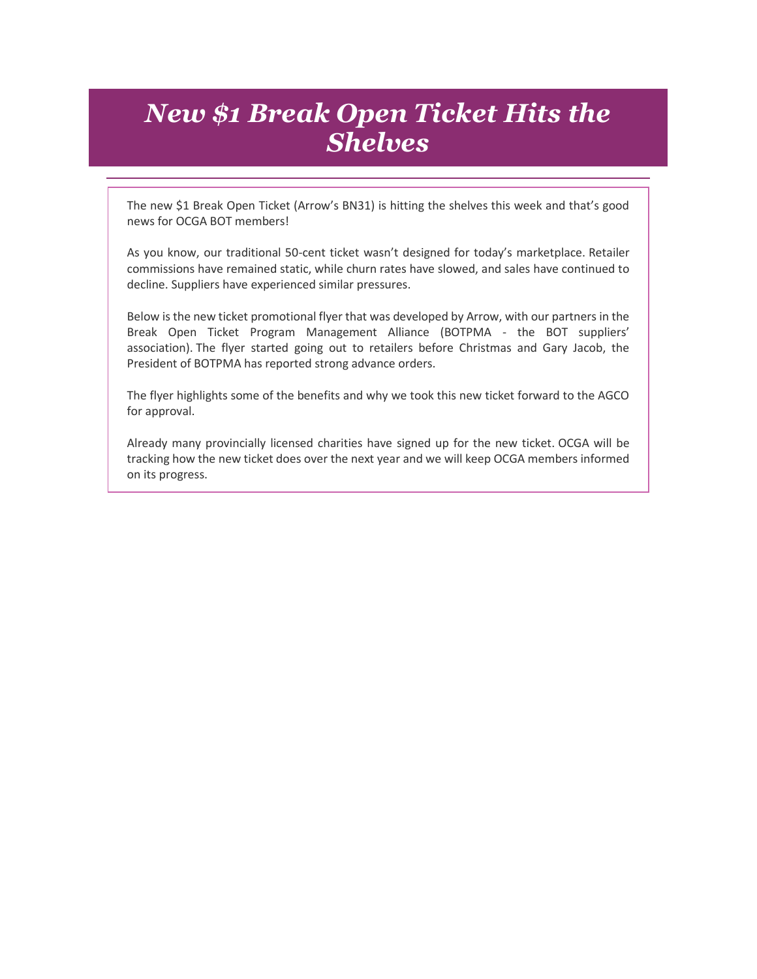#### *New \$1 Break Open Ticket Hits the Shelves*

The new \$1 Break Open Ticket (Arrow's BN31) is hitting the shelves this week and that's good news for OCGA BOT members!

As you know, our traditional 50-cent ticket wasn't designed for today's marketplace. Retailer commissions have remained static, while churn rates have slowed, and sales have continued to decline. Suppliers have experienced similar pressures.

Below is the new ticket promotional flyer that was developed by Arrow, with our partners in the Break Open Ticket Program Management Alliance (BOTPMA - the BOT suppliers' association). The flyer started going out to retailers before Christmas and Gary Jacob, the President of BOTPMA has reported strong advance orders.

The flyer highlights some of the benefits and why we took this new ticket forward to the AGCO for approval.

Already many provincially licensed charities have signed up for the new ticket. OCGA will be tracking how the new ticket does over the next year and we will keep OCGA members informed on its progress.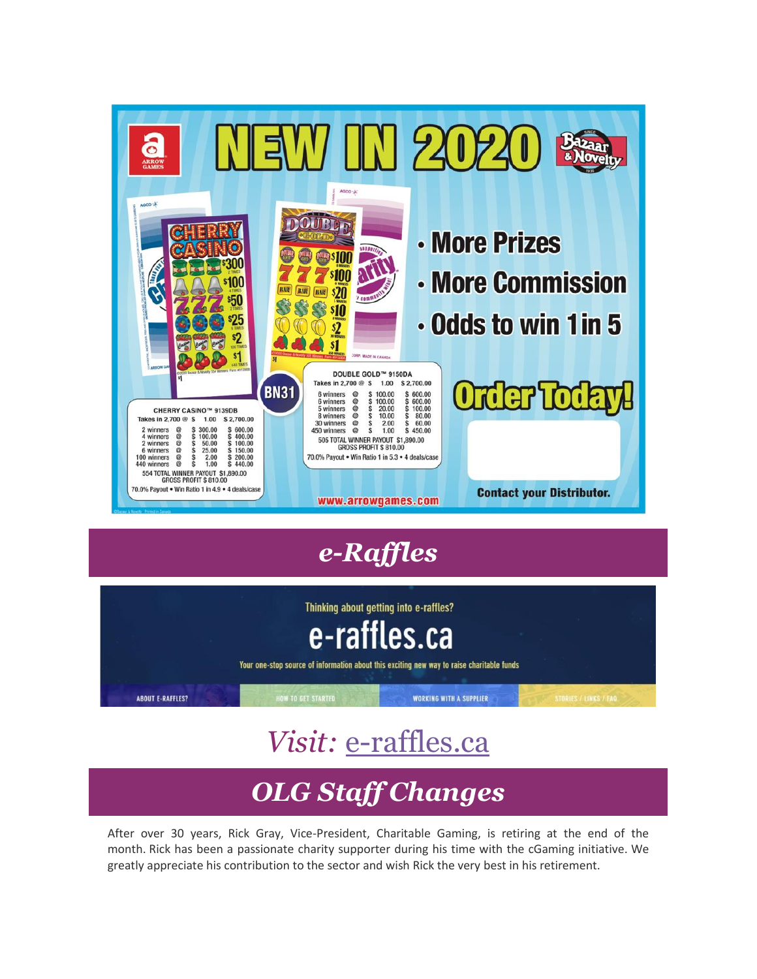

# *e-Raffles*



# *Visit:* [e-raffles.ca](http://r20.rs6.net/tn.jsp?f=001CfmsQcW5TZhaDTMyiKHBpFAhUE7cGATTB9wJe2kp8EPm5OsG4csFlFBHC6MGv8JfJXhD8P1rTD5lRghG5eXg-aHOdzRc2JwD0YgXAlMFuAnRLaS0uiI0dYh5a_BEM_0B3wSRFSqlG1_ikHXaSxddmw==&c=MVhs2mrYShONWZLe1KCZJ0R23sFVqO05kqP4JYSYohLrIVAwklOYzA==&ch=_Ut0vZoH79OPPW6aER5B8T_cOowmpg2J3-TRJZfQB6GWczP7O8IXsg==)

# *OLG Staff Changes*

After over 30 years, Rick Gray, Vice-President, Charitable Gaming, is retiring at the end of the month. Rick has been a passionate charity supporter during his time with the cGaming initiative. We greatly appreciate his contribution to the sector and wish Rick the very best in his retirement.